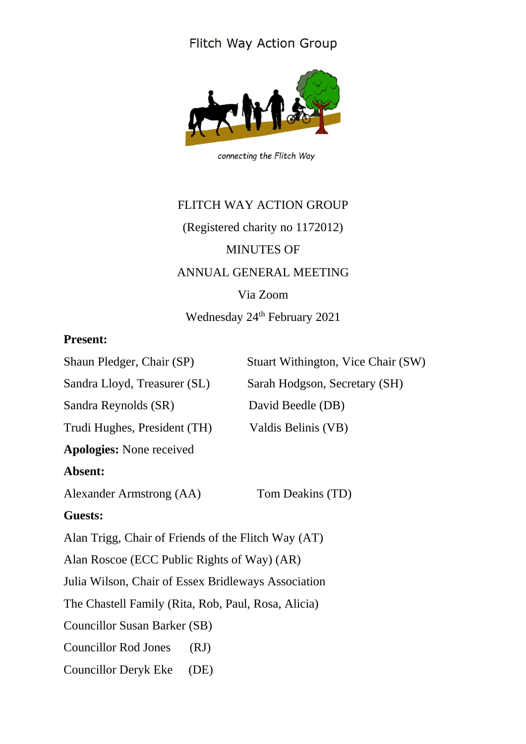## Flitch Way Action Group



connecting the Flitch Way

# FLITCH WAY ACTION GROUP (Registered charity no 1172012) MINUTES OF ANNUAL GENERAL MEETING Via Zoom Wednesday 24<sup>th</sup> February 2021

### **Present:**

| Shaun Pledger, Chair (SP)                           | Stuart Withington, Vice Chair (SW) |
|-----------------------------------------------------|------------------------------------|
| Sandra Lloyd, Treasurer (SL)                        | Sarah Hodgson, Secretary (SH)      |
| Sandra Reynolds (SR)                                | David Beedle (DB)                  |
| Trudi Hughes, President (TH)                        | Valdis Belinis (VB)                |
| <b>Apologies:</b> None received                     |                                    |
| Absent:                                             |                                    |
| Alexander Armstrong (AA)                            | Tom Deakins (TD)                   |
| <b>Guests:</b>                                      |                                    |
| Alan Trigg, Chair of Friends of the Flitch Way (AT) |                                    |
| Alan Roscoe (ECC Public Rights of Way) (AR)         |                                    |
| Julia Wilson, Chair of Essex Bridleways Association |                                    |
| The Chastell Family (Rita, Rob, Paul, Rosa, Alicia) |                                    |
| Councillor Susan Barker (SB)                        |                                    |
| <b>Councillor Rod Jones</b><br>(RJ)                 |                                    |
| <b>Councillor Deryk Eke</b><br>(DE)                 |                                    |
|                                                     |                                    |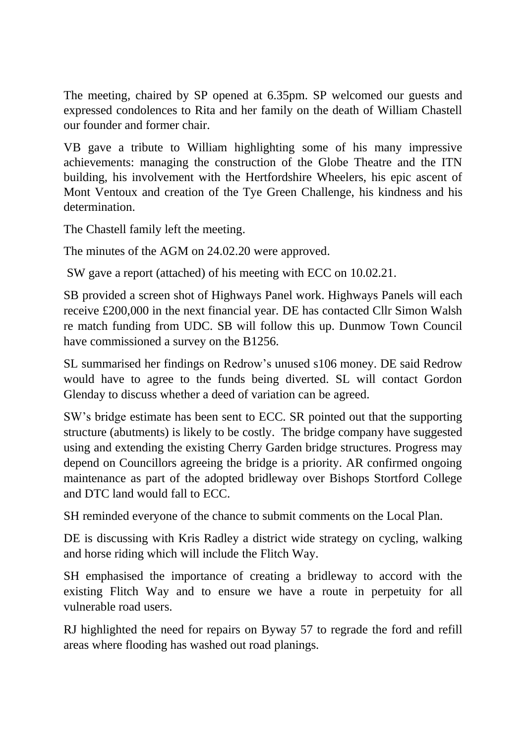The meeting, chaired by SP opened at 6.35pm. SP welcomed our guests and expressed condolences to Rita and her family on the death of William Chastell our founder and former chair.

VB gave a tribute to William highlighting some of his many impressive achievements: managing the construction of the Globe Theatre and the ITN building, his involvement with the Hertfordshire Wheelers, his epic ascent of Mont Ventoux and creation of the Tye Green Challenge, his kindness and his determination.

The Chastell family left the meeting.

The minutes of the AGM on 24.02.20 were approved.

SW gave a report (attached) of his meeting with ECC on 10.02.21.

SB provided a screen shot of Highways Panel work. Highways Panels will each receive £200,000 in the next financial year. DE has contacted Cllr Simon Walsh re match funding from UDC. SB will follow this up. Dunmow Town Council have commissioned a survey on the B1256.

SL summarised her findings on Redrow's unused s106 money. DE said Redrow would have to agree to the funds being diverted. SL will contact Gordon Glenday to discuss whether a deed of variation can be agreed.

SW's bridge estimate has been sent to ECC. SR pointed out that the supporting structure (abutments) is likely to be costly. The bridge company have suggested using and extending the existing Cherry Garden bridge structures. Progress may depend on Councillors agreeing the bridge is a priority. AR confirmed ongoing maintenance as part of the adopted bridleway over Bishops Stortford College and DTC land would fall to ECC.

SH reminded everyone of the chance to submit comments on the Local Plan.

DE is discussing with Kris Radley a district wide strategy on cycling, walking and horse riding which will include the Flitch Way.

SH emphasised the importance of creating a bridleway to accord with the existing Flitch Way and to ensure we have a route in perpetuity for all vulnerable road users.

RJ highlighted the need for repairs on Byway 57 to regrade the ford and refill areas where flooding has washed out road planings.